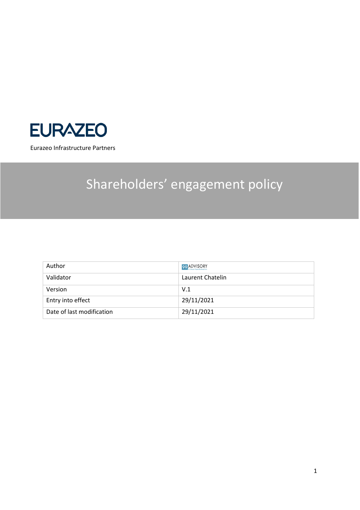

Eurazeo Infrastructure Partners

# Shareholders' engagement policy

| Author                    | 99 ADVISORY      |
|---------------------------|------------------|
| Validator                 | Laurent Chatelin |
| Version                   | V.1              |
| Entry into effect         | 29/11/2021       |
| Date of last modification | 29/11/2021       |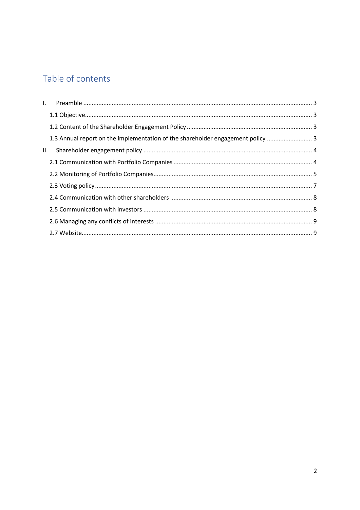## Table of contents

|     | 1.3 Annual report on the implementation of the shareholder engagement policy  3 |  |
|-----|---------------------------------------------------------------------------------|--|
| II. |                                                                                 |  |
|     |                                                                                 |  |
|     |                                                                                 |  |
|     |                                                                                 |  |
|     |                                                                                 |  |
|     |                                                                                 |  |
|     |                                                                                 |  |
|     |                                                                                 |  |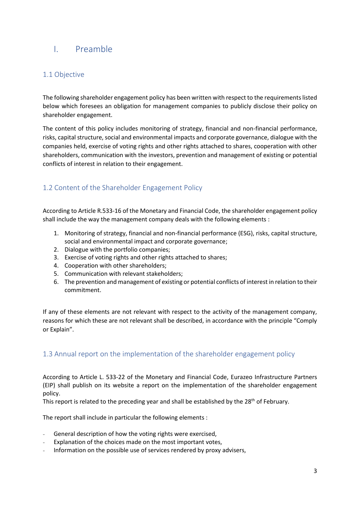## <span id="page-2-0"></span>I. Preamble

#### <span id="page-2-1"></span>1.1 Objective

The following shareholder engagement policy has been written with respect to the requirements listed below which foresees an obligation for management companies to publicly disclose their policy on shareholder engagement.

The content of this policy includes monitoring of strategy, financial and non-financial performance, risks, capital structure, social and environmental impacts and corporate governance, dialogue with the companies held, exercise of voting rights and other rights attached to shares, cooperation with other shareholders, communication with the investors, prevention and management of existing or potential conflicts of interest in relation to their engagement.

## <span id="page-2-2"></span>1.2 Content of the Shareholder Engagement Policy

According to Article R.533-16 of the Monetary and Financial Code, the shareholder engagement policy shall include the way the management company deals with the following elements :

- 1. Monitoring of strategy, financial and non-financial performance (ESG), risks, capital structure, social and environmental impact and corporate governance;
- 2. Dialogue with the portfolio companies;
- 3. Exercise of voting rights and other rights attached to shares;
- 4. Cooperation with other shareholders;
- 5. Communication with relevant stakeholders;
- 6. The prevention and management of existing or potential conflicts of interest in relation to their commitment.

If any of these elements are not relevant with respect to the activity of the management company, reasons for which these are not relevant shall be described, in accordance with the principle "Comply or Explain".

#### <span id="page-2-3"></span>1.3 Annual report on the implementation of the shareholder engagement policy

According to Article L. 533-22 of the Monetary and Financial Code, Eurazeo Infrastructure Partners (EIP) shall publish on its website a report on the implementation of the shareholder engagement policy.

This report is related to the preceding year and shall be established by the  $28<sup>th</sup>$  of February.

The report shall include in particular the following elements :

- General description of how the voting rights were exercised,
- Explanation of the choices made on the most important votes,
- Information on the possible use of services rendered by proxy advisers,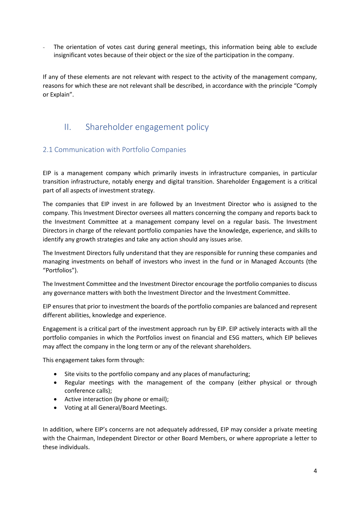The orientation of votes cast during general meetings, this information being able to exclude insignificant votes because of their object or the size of the participation in the company.

If any of these elements are not relevant with respect to the activity of the management company, reasons for which these are not relevant shall be described, in accordance with the principle "Comply or Explain".

## <span id="page-3-0"></span>II. Shareholder engagement policy

#### <span id="page-3-1"></span>2.1 Communication with Portfolio Companies

EIP is a management company which primarily invests in infrastructure companies, in particular transition infrastructure, notably energy and digital transition. Shareholder Engagement is a critical part of all aspects of investment strategy.

The companies that EIP invest in are followed by an Investment Director who is assigned to the company. This Investment Director oversees all matters concerning the company and reports back to the Investment Committee at a management company level on a regular basis. The Investment Directors in charge of the relevant portfolio companies have the knowledge, experience, and skills to identify any growth strategies and take any action should any issues arise.

The Investment Directors fully understand that they are responsible for running these companies and managing investments on behalf of investors who invest in the fund or in Managed Accounts (the "Portfolios").

The Investment Committee and the Investment Director encourage the portfolio companies to discuss any governance matters with both the Investment Director and the Investment Committee.

EIP ensures that prior to investment the boards of the portfolio companies are balanced and represent different abilities, knowledge and experience.

Engagement is a critical part of the investment approach run by EIP. EIP actively interacts with all the portfolio companies in which the Portfolios invest on financial and ESG matters, which EIP believes may affect the company in the long term or any of the relevant shareholders.

This engagement takes form through:

- Site visits to the portfolio company and any places of manufacturing;
- Regular meetings with the management of the company (either physical or through conference calls);
- Active interaction (by phone or email);
- Voting at all General/Board Meetings.

In addition, where EIP's concerns are not adequately addressed, EIP may consider a private meeting with the Chairman, Independent Director or other Board Members, or where appropriate a letter to these individuals.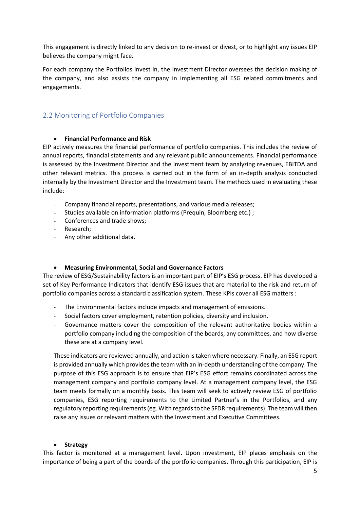This engagement is directly linked to any decision to re-invest or divest, or to highlight any issues EIP believes the company might face.

For each company the Portfolios invest in, the Investment Director oversees the decision making of the company, and also assists the company in implementing all ESG related commitments and engagements.

#### <span id="page-4-0"></span>2.2 Monitoring of Portfolio Companies

#### • **Financial Performance and Risk**

EIP actively measures the financial performance of portfolio companies. This includes the review of annual reports, financial statements and any relevant public announcements. Financial performance is assessed by the Investment Director and the investment team by analyzing revenues, EBITDA and other relevant metrics. This process is carried out in the form of an in-depth analysis conducted internally by the Investment Director and the Investment team. The methods used in evaluating these include:

- Company financial reports, presentations, and various media releases;
- Studies available on information platforms (Prequin, Bloomberg etc.) ;
- Conferences and trade shows;
- Research;
- Any other additional data.

#### • **Measuring Environmental, Social and Governance Factors**

The review of ESG/Sustainability factors is an important part of EIP's ESG process. EIP has developed a set of Key Performance Indicators that identify ESG issues that are material to the risk and return of portfolio companies across a standard classification system. These KPIs cover all ESG matters :

- The Environmental factors include impacts and management of emissions.
- Social factors cover employment, retention policies, diversity and inclusion.
- Governance matters cover the composition of the relevant authoritative bodies within a portfolio company including the composition of the boards, any committees, and how diverse these are at a company level.

These indicators are reviewed annually, and action is taken where necessary. Finally, an ESG report is provided annually which provides the team with an in-depth understanding of the company. The purpose of this ESG approach is to ensure that EIP's ESG effort remains coordinated across the management company and portfolio company level. At a management company level, the ESG team meets formally on a monthly basis. This team will seek to actively review ESG of portfolio companies, ESG reporting requirements to the Limited Partner's in the Portfolios, and any regulatory reporting requirements(eg. With regards to the SFDR requirements). The team will then raise any issues or relevant matters with the Investment and Executive Committees.

#### • **Strategy**

This factor is monitored at a management level. Upon investment, EIP places emphasis on the importance of being a part of the boards of the portfolio companies. Through this participation, EIP is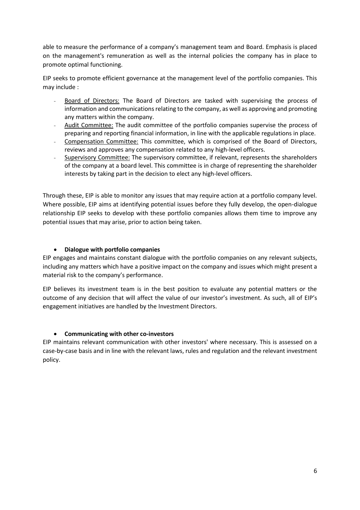able to measure the performance of a company's management team and Board. Emphasis is placed on the management's remuneration as well as the internal policies the company has in place to promote optimal functioning.

EIP seeks to promote efficient governance at the management level of the portfolio companies. This may include :

- Board of Directors: The Board of Directors are tasked with supervising the process of information and communications relating to the company, as well as approving and promoting any matters within the company.
- Audit Committee: The audit committee of the portfolio companies supervise the process of preparing and reporting financial information, in line with the applicable regulations in place.
- Compensation Committee: This committee, which is comprised of the Board of Directors, reviews and approves any compensation related to any high-level officers.
- Supervisory Committee: The supervisory committee, if relevant, represents the shareholders of the company at a board level. This committee is in charge of representing the shareholder interests by taking part in the decision to elect any high-level officers.

Through these, EIP is able to monitor any issues that may require action at a portfolio company level. Where possible, EIP aims at identifying potential issues before they fully develop, the open-dialogue relationship EIP seeks to develop with these portfolio companies allows them time to improve any potential issues that may arise, prior to action being taken.

#### • **Dialogue with portfolio companies**

EIP engages and maintains constant dialogue with the portfolio companies on any relevant subjects, including any matters which have a positive impact on the company and issues which might present a material risk to the company's performance.

EIP believes its investment team is in the best position to evaluate any potential matters or the outcome of any decision that will affect the value of our investor's investment. As such, all of EIP's engagement initiatives are handled by the Investment Directors.

#### • **Communicating with other co-investors**

EIP maintains relevant communication with other investors' where necessary. This is assessed on a case-by-case basis and in line with the relevant laws, rules and regulation and the relevant investment policy.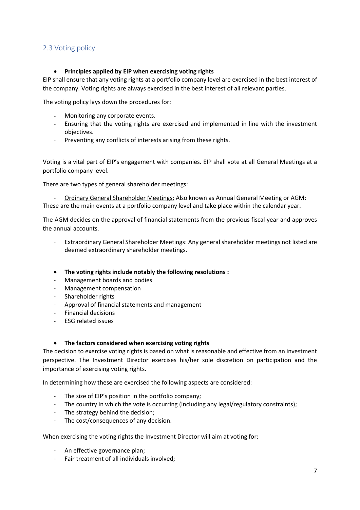#### <span id="page-6-0"></span>2.3 Voting policy

#### • **Principles applied by EIP when exercising voting rights**

EIP shall ensure that any voting rights at a portfolio company level are exercised in the best interest of the company. Voting rights are always exercised in the best interest of all relevant parties.

The voting policy lays down the procedures for:

- Monitoring any corporate events.
- Ensuring that the voting rights are exercised and implemented in line with the investment objectives.
- Preventing any conflicts of interests arising from these rights.

Voting is a vital part of EIP's engagement with companies. EIP shall vote at all General Meetings at a portfolio company level.

There are two types of general shareholder meetings:

- Ordinary General Shareholder Meetings: Also known as Annual General Meeting or AGM: These are the main events at a portfolio company level and take place within the calendar year.

The AGM decides on the approval of financial statements from the previous fiscal year and approves the annual accounts.

- Extraordinary General Shareholder Meetings: Any general shareholder meetings not listed are deemed extraordinary shareholder meetings.
- **The voting rights include notably the following resolutions :**
- Management boards and bodies
- Management compensation
- Shareholder rights
- Approval of financial statements and management
- Financial decisions
- ESG related issues

#### • **The factors considered when exercising voting rights**

The decision to exercise voting rights is based on what is reasonable and effective from an investment perspective. The Investment Director exercises his/her sole discretion on participation and the importance of exercising voting rights.

In determining how these are exercised the following aspects are considered:

- The size of EIP's position in the portfolio company;
- The country in which the vote is occurring (including any legal/regulatory constraints);
- The strategy behind the decision;
- The cost/consequences of any decision.

When exercising the voting rights the Investment Director will aim at voting for:

- An effective governance plan;
- Fair treatment of all individuals involved;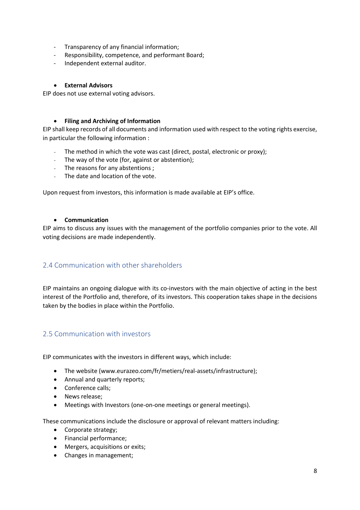- Transparency of any financial information;
- Responsibility, competence, and performant Board;
- Independent external auditor.

#### • **External Advisors**

EIP does not use external voting advisors.

#### • **Filing and Archiving of Information**

EIP shall keep records of all documents and information used with respect to the voting rights exercise, in particular the following information :

- The method in which the vote was cast (direct, postal, electronic or proxy);
- The way of the vote (for, against or abstention);
- The reasons for any abstentions ;
- The date and location of the vote.

Upon request from investors, this information is made available at EIP's office.

#### • **Communication**

EIP aims to discuss any issues with the management of the portfolio companies prior to the vote. All voting decisions are made independently.

## <span id="page-7-0"></span>2.4 Communication with other shareholders

EIP maintains an ongoing dialogue with its co-investors with the main objective of acting in the best interest of the Portfolio and, therefore, of its investors. This cooperation takes shape in the decisions taken by the bodies in place within the Portfolio.

### <span id="page-7-1"></span>2.5 Communication with investors

EIP communicates with the investors in different ways, which include:

- The website (www.eurazeo.com/fr/metiers/real-assets/infrastructure);
- Annual and quarterly reports;
- Conference calls;
- News release;
- Meetings with Investors (one-on-one meetings or general meetings).

These communications include the disclosure or approval of relevant matters including:

- Corporate strategy;
- Financial performance;
- Mergers, acquisitions or exits;
- Changes in management;